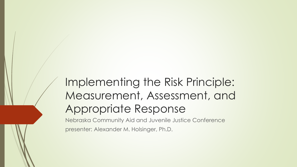# Implementing the Risk Principle: Measurement, Assessment, and Appropriate Response

Nebraska Community Aid and Juvenile Justice Conference presenter: Alexander M. Holsinger, Ph.D.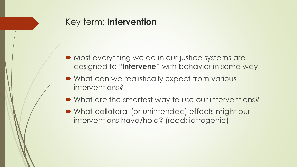#### Key term: **Intervention**

- Most everything we do in our justice systems are designed to "**intervene**" with behavior in some way
- What can we realistically expect from various interventions?
- What are the smartest way to use our interventions?
- What collateral (or unintended) effects might our interventions have/hold? (read: iatrogenic)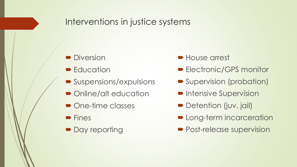## Interventions in justice systems

- Diversion
- **Education**
- Suspensions/expulsions
- Online/alt education
- One-time classes
- $\blacksquare$  Fines
- Day reporting
- **House arrest**
- **Electronic/GPS monitor**
- **Supervision (probation)**
- **Intensive Supervision**
- Detention (juv. jail)
- **D** Long-term incarceration
- **Post-release supervision**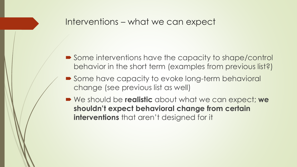#### Interventions – what we can expect

- Some interventions have the capacity to shape/control behavior in the short term (examples from previous list?)
- Some have capacity to evoke long-term behavioral change (see previous list as well)
- We should be **realistic** about what we can expect; **we shouldn't expect behavioral change from certain interventions** that aren't designed for it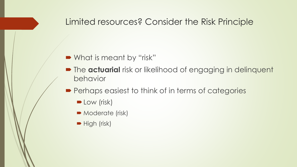#### Limited resources? Consider the Risk Principle

#### ■ What is meant by "risk"

- **The actuarial** risk or likelihood of engaging in delinquent behavior
- **Perhaps easiest to think of in terms of categories** 
	- **D** Low (risk)
	- **Moderate (risk)**
	- $\blacktriangleright$  High (risk)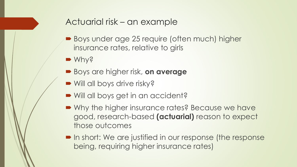## Actuarial risk – an example

- Boys under age 25 require (often much) higher insurance rates, relative to girls
- Why?
- Boys are higher risk, **on average**
- Will all boys drive risky?
- Will all boys get in an accident?
- Why the higher insurance rates? Because we have good, research-based **(actuarial)** reason to expect those outcomes
- In short: We are justified in our response (the response being, requiring higher insurance rates)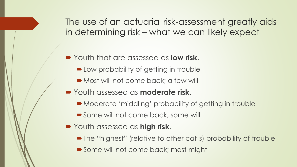The use of an actuarial risk-assessment greatly aids in determining risk – what we can likely expect

- Youth that are assessed as **low risk**.
	- **Low probability of getting in trouble**
	- Most will not come back; a few will
- Youth assessed as **moderate risk**.
	- Moderate 'middling' probability of getting in trouble
	- Some will not come back; some will
- Youth assessed as **high risk**.
	- The "highest" (relative to other cat's) probability of trouble
	- Some will not come back; most might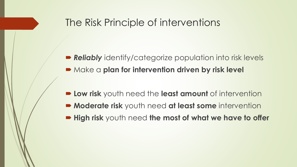## The Risk Principle of interventions

- **Reliably** identify/categorize population into risk levels **• Make a plan for intervention driven by risk level**
- **Low risk** youth need the **least amount** of intervention
- **Moderate risk** youth need **at least some** intervention
- **High risk** youth need **the most of what we have to offer**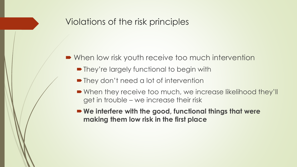#### Violations of the risk principles

- When low risk youth receive too much intervention
	- They're largely functional to begin with
	- They don't need a lot of intervention
	- When they receive too much, we increase likelihood they'll get in trouble – we increase their risk
	- **We interfere with the good, functional things that were making them low risk in the first place**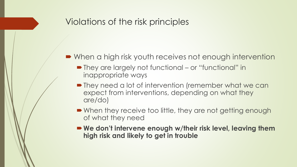## Violations of the risk principles

- When a high risk youth receives not enough intervention
	- They are largely not functional or "functional" in inappropriate ways
	- **They need a lot of intervention (remember what we can** expect from interventions, depending on what they are/do)
	- When they receive too little, they are not getting enough of what they need
	- We don't intervene enough w/their risk level, leaving them **high risk and likely to get in trouble**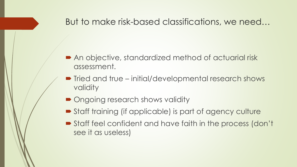#### But to make risk-based classifications, we need…

- An objective, standardized method of actuarial risk assessment.
- Tried and true initial/developmental research shows validity
- Ongoing research shows validity
- Staff training (if applicable) is part of agency culture
- Staff feel confident and have faith in the process (don't see it as useless)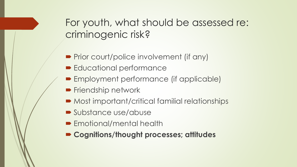For youth, what should be assessed re: criminogenic risk?

- **Prior court/police involvement (if any)**
- **Educational performance**
- **Employment performance (if applicable)**
- **Friendship network**
- Most important/critical familial relationships
- Substance use/abuse
- **Emotional/mental health**
- **Cognitions/thought processes; attitudes**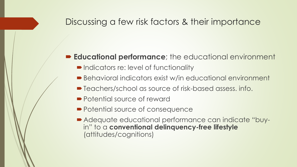#### **Educational performance**; the educational environment

- **Indicators re: level of functionality**
- Behavioral indicators exist w/in educational environment
- Teachers/school as source of risk-based assess. info.
- Potential source of reward
- Potential source of consequence
- Adequate educational performance can indicate "buyin" to a **conventional delinquency-free lifestyle** (attitudes/cognitions)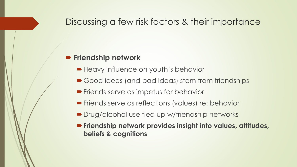#### **Friendship network**

- **Heavy influence on youth's behavior**
- Good ideas (and bad ideas) stem from friendships
- **Friends serve as impetus for behavior**
- **Friends serve as reflections (values) re: behavior**
- Drug/alcohol use tied up w/friendship networks
- **Friendship network provides insight into values, attitudes, beliefs & cognitions**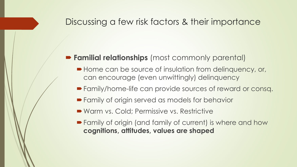#### **Familial relationships** (most commonly parental)

- Home can be source of insulation from delinquency, or, can encourage (even unwittingly) delinquency
- Family/home-life can provide sources of reward or consq.
- Family of origin served as models for behavior
- Warm vs. Cold; Permissive vs. Restrictive
- Family of origin (and family of current) is where and how **cognitions, attitudes, values are shaped**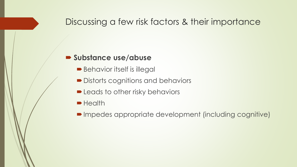#### **Substance use/abuse**

- Behavior itself is illegal
- **► Distorts cognitions and behaviors**
- **D** Leads to other risky behaviors
- **Health**
- Impedes appropriate development (including cognitive)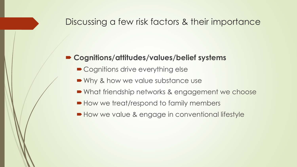#### **Cognitions/attitudes/values/belief systems**

- Cognitions drive everything else
- Why & how we value substance use
- What friendship networks & engagement we choose
- How we treat/respond to family members
- **How we value & engage in conventional lifestyle**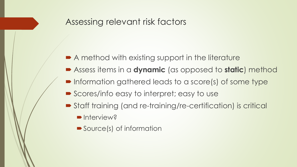#### Assessing relevant risk factors

- A method with existing support in the literature
- Assess items in a **dynamic** (as opposed to **static**) method
- **Information gathered leads to a score(s) of some type**
- Scores/info easy to interpret; easy to use
- Staff training (and re-training/re-certification) is critical
	- **Interview?**
	- Source(s) of information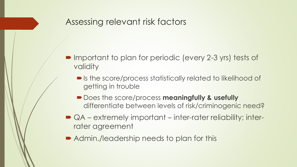#### Assessing relevant risk factors

- Important to plan for periodic (every 2-3 yrs) tests of validity
	- Is the score/process statistically related to likelihood of getting in trouble
	- **Does the score/process meaningfully & usefully** differentiate between levels of risk/criminogenic need?
- QA extremely important inter-rater reliability; interrater agreement
- Admin./leadership needs to plan for this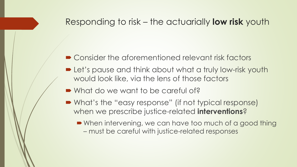#### Responding to risk – the actuarially **low risk** youth

- Consider the aforementioned relevant risk factors
- **Let's pause and think about what a truly low-risk youth** would look like, via the lens of those factors
- What do we want to be careful of?
- What's the "easy response" (if not typical response) when we prescribe justice-related **interventions**?
	- When intervening, we can have too much of a good thing – must be careful with justice-related responses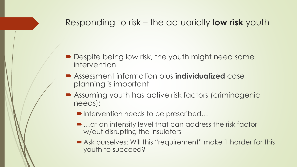### Responding to risk – the actuarially **low risk** youth

- **Despite being low risk, the youth might need some** intervention
- Assessment information plus **individualized** case planning is important
- Assuming youth has active risk factors (criminogenic needs):
	- ■Intervention needs to be prescribed...
	- …at an intensity level that can address the risk factor w/out disrupting the insulators
	- Ask ourselves: Will this "requirement" make it harder for this youth to succeed?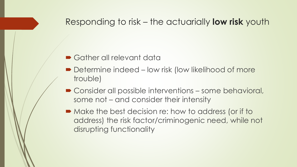#### Responding to risk – the actuarially **low risk** youth

#### ■ Gather all relevant data

- Determine indeed low risk (low likelihood of more trouble)
- Consider all possible interventions some behavioral, some not – and consider their intensity
- Make the best decision re: how to address (or if to address) the risk factor/criminogenic need, while not disrupting functionality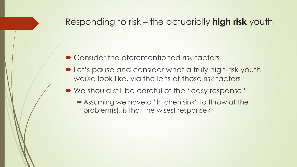#### Responding to risk – the actuarially **high risk** youth

- Consider the aforementioned risk factors
- **Let's pause and consider what a truly high-risk youth** would look like, via the lens of those risk factors
- We should still be careful of the "easy response"
	- Assuming we have a "kitchen sink" to throw at the problem(s), is that the wisest response?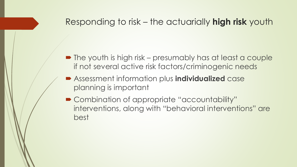#### Responding to risk – the actuarially **high risk** youth

- The youth is high risk presumably has at least a couple if not several active risk factors/criminogenic needs
- Assessment information plus **individualized** case planning is important
- Combination of appropriate "accountability" interventions, along with "behavioral interventions" are best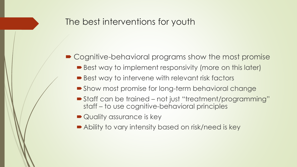#### The best interventions for youth

- Cognitive-behavioral programs show the most promise
	- Best way to implement responsivity (more on this later)
	- Best way to intervene with relevant risk factors
	- Show most promise for long-term behavioral change
	- Staff can be trained not just "treatment/programming" staff – to use cognitive-behavioral principles
	- Quality assurance is key
	- Ability to vary intensity based on risk/need is key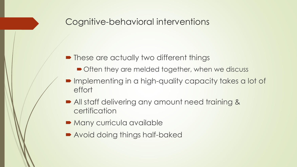#### Cognitive-behavioral interventions

- **These are actually two different things** 
	- Often they are melded together, when we discuss
- **Implementing in a high-quality capacity takes a lot of** effort
- All staff delivering any amount need training & certification
- **Many curricula available**
- Avoid doing things half-baked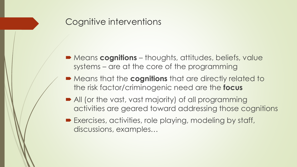## Cognitive interventions

- Means **cognitions** thoughts, attitudes, beliefs, value systems – are at the core of the programming
- Means that the **cognitions** that are directly related to the risk factor/criminogenic need are the **focus**
- All (or the vast, vast majority) of all programming activities are geared toward addressing those cognitions
- Exercises, activities, role playing, modeling by staff, discussions, examples…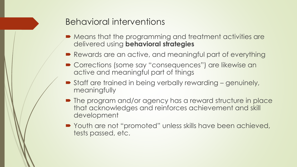#### Behavioral interventions

- $\blacktriangleright$  Means that the programming and treatment activities are delivered using **behavioral strategies**
- Rewards are an active, and meaningful part of everything
- Corrections (some say "consequences") are likewise an active and meaningful part of things
- Staff are trained in being verbally rewarding genuinely, meaningfully
- $\blacksquare$  The program and/or agency has a reward structure in place that acknowledges and reinforces achievement and skill development
- Youth are not "promoted" unless skills have been achieved, tests passed, etc.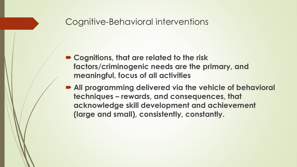#### Cognitive-Behavioral interventions

- **Cognitions, that are related to the risk factors/criminogenic needs are the primary, and meaningful, focus of all activities**
- **All programming delivered via the vehicle of behavioral techniques – rewards, and consequences, that acknowledge skill development and achievement (large and small), consistently, constantly.**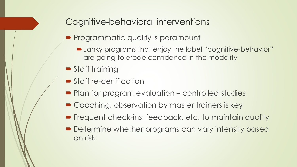## Cognitive-behavioral interventions

- **Programmatic quality is paramount** 
	- Janky programs that enjoy the label "cognitive-behavior" are going to erode confidence in the modality
- **Staff training**
- **Staff re-certification**
- Plan for program evaluation controlled studies
- Coaching, observation by master trainers is key
- **Figuent check-ins, feedback, etc. to maintain quality**
- **Determine whether programs can vary intensity based** on risk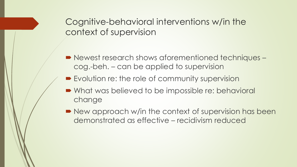Cognitive-behavioral interventions w/in the context of supervision

- Newest research shows aforementioned techniques cog.-beh. – can be applied to supervision
- **Explution re: the role of community supervision**
- What was believed to be impossible re: behavioral change
- New approach w/in the context of supervision has been demonstrated as effective – recidivism reduced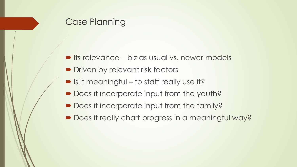## Case Planning

- **Its relevance biz as usual vs. newer models**
- **Driven by relevant risk factors**
- Is it meaningful to staff really use it?
- Does it incorporate input from the youth?
- Does it incorporate input from the family?
- Does it really chart progress in a meaningful way?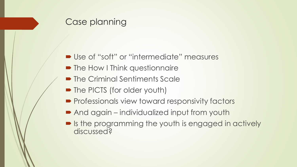## Case planning

- Use of "soft" or "intermediate" measures
- The How I Think questionnaire
- The Criminal Sentiments Scale
- The PICTS (for older youth)
- **Professionals view toward responsivity factors**
- And again individualized input from youth
- Is the programming the youth is engaged in actively discussed?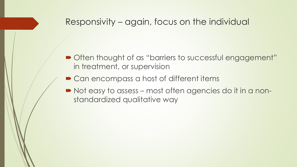### Responsivity – again, focus on the individual

- Often thought of as "barriers to successful engagement" in treatment, or supervision
- Can encompass a host of different items
- Not easy to assess most often agencies do it in a nonstandardized qualitative way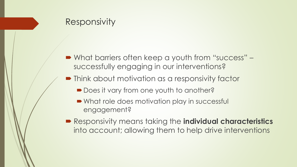## Responsivity

- What barriers often keep a youth from "success" successfully engaging in our interventions?
- Think about motivation as a responsivity factor
	- Does it vary from one youth to another?
	- What role does motivation play in successful engagement?
- Responsivity means taking the **individual characteristics** into account; allowing them to help drive interventions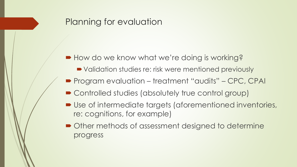#### Planning for evaluation

- How do we know what we're doing is working?
	- Validation studies re: risk were mentioned previously
- Program evaluation treatment "audits" CPC, CPAI
- Controlled studies (absolutely true control group)
- Use of intermediate targets (aforementioned inventories, re: cognitions, for example)
- $\blacksquare$  Other methods of assessment designed to determine progress